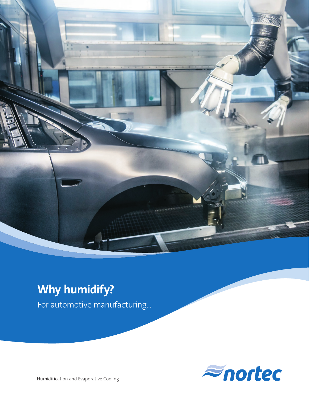

# **Why humidify?**

For automotive manufacturing...



Humidification and Evaporative Cooling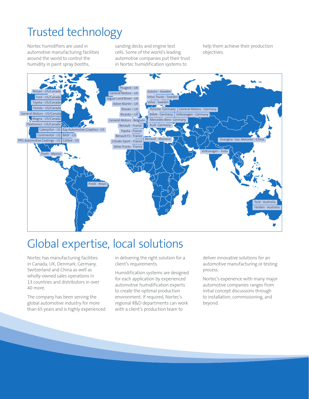## Trusted technology

Nortec humidifiers are used in automotive manufacturing facilities around the world to control the humidity in paint spray booths,

sanding decks and engine test cells. Some of the world's leading automotive companies put their trust in Nortec humidification systems to

help them achieve their production objectives.



### Global expertise, local solutions

Nortec has manufacturing facilities in Canada, UK, Denmark, Germany, Switzerland and China as well as wholly-owned sales operations in 13 countries and distributors in over 40 more.

The company has been serving the global automotive industry for more than 65 years and is highly experienced in delivering the right solution for a client's requirements.

Humidification systems are designed for each application by experienced automotive humidification experts to create the optimal production environment. If required, Nortec's regional R&D departments can work with a client's production team to

deliver innovative solutions for an automotive manufacturing or testing process.

Nortec's experience with many major automotive companies ranges from initial concept discussions through to installation, commissioning, and beyond.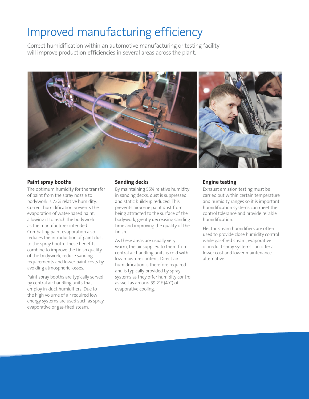## Improved manufacturing efficiency

Correct humidification within an automotive manufacturing or testing facility will improve production efficiencies in several areas across the plant.



#### **Paint spray booths**

The optimum humidity for the transfer of paint from the spray nozzle to bodywork is 72% relative humidity. Correct humidification prevents the evaporation of water-based paint, allowing it to reach the bodywork as the manufacturer intended. Combating paint evaporation also reduces the introduction of paint dust to the spray booth. These benefits combine to improve the finish quality of the bodywork, reduce sanding requirements and lower paint costs by avoiding atmospheric losses.

Paint spray booths are typically served by central air handling units that employ in-duct humidifiers. Due to the high volume of air required low energy systems are used such as spray, evaporative or gas-fired steam.

#### **Sanding decks**

By maintaining 55% relative humidity in sanding decks, dust is suppressed and static build-up reduced. This prevents airborne paint dust from being attracted to the surface of the bodywork, greatly decreasing sanding time and improving the quality of the finish.

As these areas are usually very warm, the air supplied to them from central air handling units is cold with low moisture content. Direct air humidification is therefore required and is typically provided by spray systems as they offer humidity control as well as around 39.2°F (4°C) of evaporative cooling.

#### **Engine testing**

Exhaust emission testing must be carried out within certain temperature and humidity ranges so it is important humidification systems can meet the control tolerance and provide reliable humidification.

Electric steam humidifiers are often used to provide close humidity control while gas-fired steam, evaporative or in-duct spray systems can offer a lower cost and lower maintenance alternative.